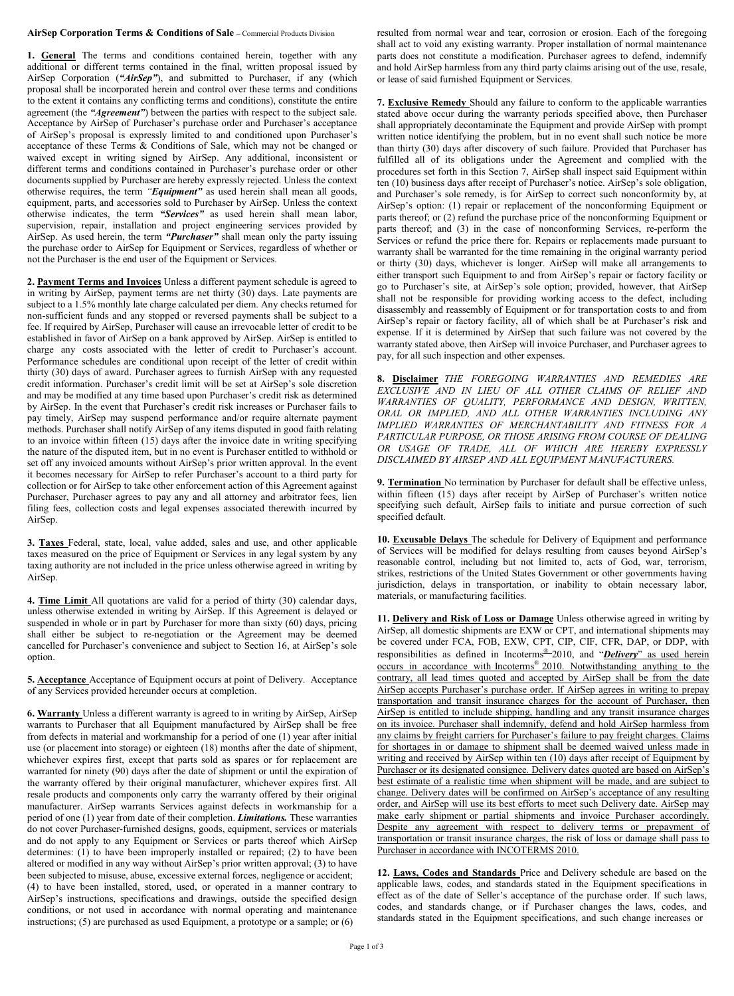## **AirSep Corporation Terms & Conditions of Sale –** Commercial Products Division

**1. General** The terms and conditions contained herein, together with any additional or different terms contained in the final, written proposal issued by AirSep Corporation (*"AirSep"*), and submitted to Purchaser, if any (which proposal shall be incorporated herein and control over these terms and conditions to the extent it contains any conflicting terms and conditions), constitute the entire agreement (the *"Agreement"*) between the parties with respect to the subject sale. Acceptance by AirSep of Purchaser's purchase order and Purchaser's acceptance of AirSep's proposal is expressly limited to and conditioned upon Purchaser's acceptance of these Terms & Conditions of Sale, which may not be changed or waived except in writing signed by AirSep. Any additional, inconsistent or different terms and conditions contained in Purchaser's purchase order or other documents supplied by Purchaser are hereby expressly rejected. Unless the context otherwise requires, the term *"Equipment"* as used herein shall mean all goods, equipment, parts, and accessories sold to Purchaser by AirSep. Unless the context otherwise indicates, the term *"Services"* as used herein shall mean labor, supervision, repair, installation and project engineering services provided by AirSep. As used herein, the term *"Purchaser"* shall mean only the party issuing the purchase order to AirSep for Equipment or Services, regardless of whether or not the Purchaser is the end user of the Equipment or Services.

**2. Payment Terms and Invoices** Unless a different payment schedule is agreed to in writing by AirSep, payment terms are net thirty (30) days. Late payments are subject to a 1.5% monthly late charge calculated per diem. Any checks returned for non-sufficient funds and any stopped or reversed payments shall be subject to a fee. If required by AirSep, Purchaser will cause an irrevocable letter of credit to be established in favor of AirSep on a bank approved by AirSep. AirSep is entitled to charge any costs associated with the letter of credit to Purchaser's account. Performance schedules are conditional upon receipt of the letter of credit within thirty (30) days of award. Purchaser agrees to furnish AirSep with any requested credit information. Purchaser's credit limit will be set at AirSep's sole discretion and may be modified at any time based upon Purchaser's credit risk as determined by AirSep. In the event that Purchaser's credit risk increases or Purchaser fails to pay timely, AirSep may suspend performance and/or require alternate payment methods. Purchaser shall notify AirSep of any items disputed in good faith relating to an invoice within fifteen (15) days after the invoice date in writing specifying the nature of the disputed item, but in no event is Purchaser entitled to withhold or set off any invoiced amounts without AirSep's prior written approval. In the event it becomes necessary for AirSep to refer Purchaser's account to a third party for collection or for AirSep to take other enforcement action of this Agreement against Purchaser, Purchaser agrees to pay any and all attorney and arbitrator fees, lien filing fees, collection costs and legal expenses associated therewith incurred by AirSep.

**3. Taxes** Federal, state, local, value added, sales and use, and other applicable taxes measured on the price of Equipment or Services in any legal system by any taxing authority are not included in the price unless otherwise agreed in writing by AirSep.

**4. Time Limit** All quotations are valid for a period of thirty (30) calendar days, unless otherwise extended in writing by AirSep. If this Agreement is delayed or suspended in whole or in part by Purchaser for more than sixty (60) days, pricing shall either be subject to re-negotiation or the Agreement may be deemed cancelled for Purchaser's convenience and subject to Section 16, at AirSep's sole option.

**5. Acceptance** Acceptance of Equipment occurs at point of Delivery. Acceptance of any Services provided hereunder occurs at completion.

**6. Warranty** Unless a different warranty is agreed to in writing by AirSep, AirSep warrants to Purchaser that all Equipment manufactured by AirSep shall be free from defects in material and workmanship for a period of one (1) year after initial use (or placement into storage) or eighteen (18) months after the date of shipment, whichever expires first, except that parts sold as spares or for replacement are warranted for ninety (90) days after the date of shipment or until the expiration of the warranty offered by their original manufacturer, whichever expires first. All resale products and components only carry the warranty offered by their original manufacturer. AirSep warrants Services against defects in workmanship for a period of one (1) year from date of their completion. *Limitations.* These warranties do not cover Purchaser-furnished designs, goods, equipment, services or materials and do not apply to any Equipment or Services or parts thereof which AirSep determines: (1) to have been improperly installed or repaired; (2) to have been altered or modified in any way without AirSep's prior written approval; (3) to have been subjected to misuse, abuse, excessive external forces, negligence or accident; (4) to have been installed, stored, used, or operated in a manner contrary to AirSep's instructions, specifications and drawings, outside the specified design conditions, or not used in accordance with normal operating and maintenance instructions; (5) are purchased as used Equipment, a prototype or a sample; or (6)

resulted from normal wear and tear, corrosion or erosion. Each of the foregoing shall act to void any existing warranty. Proper installation of normal maintenance parts does not constitute a modification. Purchaser agrees to defend, indemnify and hold AirSep harmless from any third party claims arising out of the use, resale, or lease of said furnished Equipment or Services.

**7. Exclusive Remedy** Should any failure to conform to the applicable warranties stated above occur during the warranty periods specified above, then Purchaser shall appropriately decontaminate the Equipment and provide AirSep with prompt written notice identifying the problem, but in no event shall such notice be more than thirty (30) days after discovery of such failure. Provided that Purchaser has fulfilled all of its obligations under the Agreement and complied with the procedures set forth in this Section 7, AirSep shall inspect said Equipment within ten (10) business days after receipt of Purchaser's notice. AirSep's sole obligation, and Purchaser's sole remedy, is for AirSep to correct such nonconformity by, at AirSep's option: (1) repair or replacement of the nonconforming Equipment or parts thereof; or (2) refund the purchase price of the nonconforming Equipment or parts thereof; and (3) in the case of nonconforming Services, re-perform the Services or refund the price there for. Repairs or replacements made pursuant to warranty shall be warranted for the time remaining in the original warranty period or thirty (30) days, whichever is longer. AirSep will make all arrangements to either transport such Equipment to and from AirSep's repair or factory facility or go to Purchaser's site, at AirSep's sole option; provided, however, that AirSep shall not be responsible for providing working access to the defect, including disassembly and reassembly of Equipment or for transportation costs to and from AirSep's repair or factory facility, all of which shall be at Purchaser's risk and expense. If it is determined by AirSep that such failure was not covered by the warranty stated above, then AirSep will invoice Purchaser, and Purchaser agrees to pay, for all such inspection and other expenses.

**8. Disclaimer** *THE FOREGOING WARRANTIES AND REMEDIES ARE EXCLUSIVE AND IN LIEU OF ALL OTHER CLAIMS OF RELIEF AND WARRANTIES OF QUALITY, PERFORMANCE AND DESIGN, WRITTEN, ORAL OR IMPLIED, AND ALL OTHER WARRANTIES INCLUDING ANY IMPLIED WARRANTIES OF MERCHANTABILITY AND FITNESS FOR A PARTICULAR PURPOSE, OR THOSE ARISING FROM COURSE OF DEALING OR USAGE OF TRADE, ALL OF WHICH ARE HEREBY EXPRESSLY DISCLAIMED BY AIRSEP AND ALL EQUIPMENT MANUFACTURERS.*

**9. Termination** No termination by Purchaser for default shall be effective unless, within fifteen (15) days after receipt by AirSep of Purchaser's written notice specifying such default, AirSep fails to initiate and pursue correction of such specified default.

**10. Excusable Delays** The schedule for Delivery of Equipment and performance of Services will be modified for delays resulting from causes beyond AirSep's reasonable control, including but not limited to, acts of God, war, terrorism, strikes, restrictions of the United States Government or other governments having jurisdiction, delays in transportation, or inability to obtain necessary labor, materials, or manufacturing facilities.

**11. Delivery and Risk of Loss or Damage** Unless otherwise agreed in writing by AirSep, all domestic shipments are EXW or CPT, and international shipments may be covered under FCA, FOB, EXW, CPT, CIP, CIF, CFR, DAP, or DDP, with responsibilities as defined in Incoterms® 2010, and "*Delivery*" as used herein occurs in accordance with Incoterms ® 2010. Notwithstanding anything to the contrary, all lead times quoted and accepted by AirSep shall be from the date AirSep accepts Purchaser's purchase order. If AirSep agrees in writing to prepay transportation and transit insurance charges for the account of Purchaser, then AirSep is entitled to include shipping, handling and any transit insurance charges on its invoice. Purchaser shall indemnify, defend and hold AirSep harmless from any claims by freight carriers for Purchaser's failure to pay freight charges. Claims for shortages in or damage to shipment shall be deemed waived unless made in writing and received by AirSep within ten (10) days after receipt of Equipment by Purchaser or its designated consignee. Delivery dates quoted are based on AirSep's best estimate of a realistic time when shipment will be made, and are subject to change. Delivery dates will be confirmed on AirSep's acceptance of any resulting order, and AirSep will use its best efforts to meet such Delivery date. AirSep may make early shipment or partial shipments and invoice Purchaser accordingly. Despite any agreement with respect to delivery terms or prepayment of transportation or transit insurance charges, the risk of loss or damage shall pass to Purchaser in accordance with INCOTERMS 2010.

**12. Laws, Codes and Standards** Price and Delivery schedule are based on the applicable laws, codes, and standards stated in the Equipment specifications in effect as of the date of Seller's acceptance of the purchase order. If such laws, codes, and standards change, or if Purchaser changes the laws, codes, and standards stated in the Equipment specifications, and such change increases or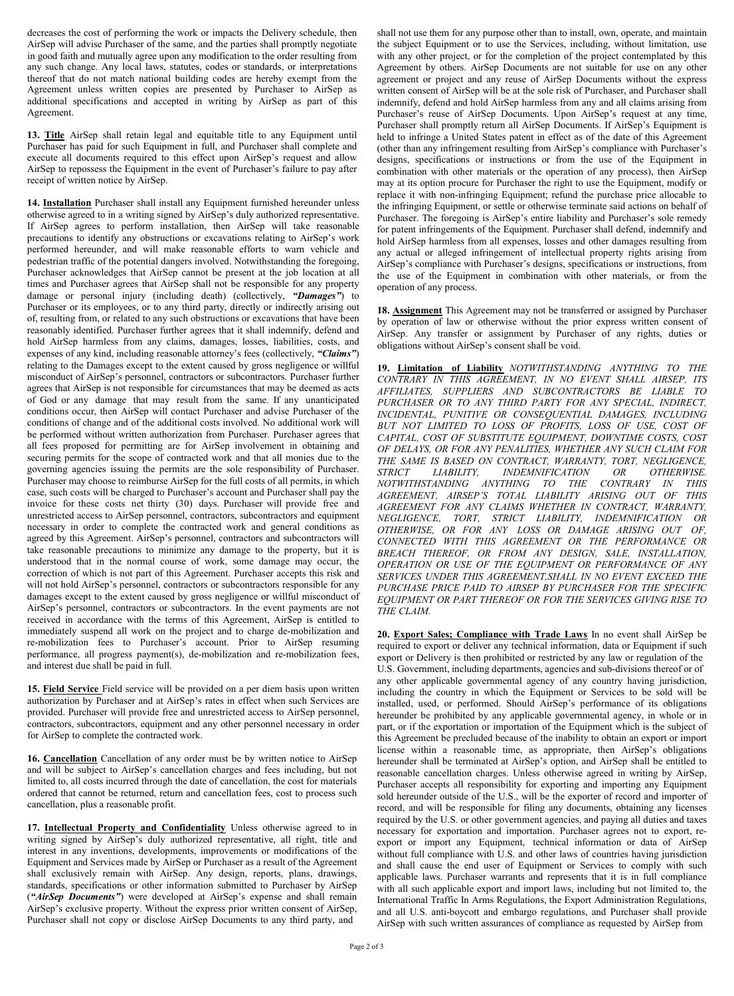decreases the cost of performing the work or impacts the Delivery schedule, then AirSep will advise Purchaser of the same, and the parties shall promptly negotiate in good faith and mutually agree upon any modification to the order resulting from any such change. Any local laws, statutes, codes or standards, or interpretations thereof that do not match national building codes are hereby exempt from the Agreement unless written copies are presented by Purchaser to AirSep as additional specifications and accepted in writing by AirSep as part of this Agreement.

**13. Title** AirSep shall retain legal and equitable title to any Equipment until Purchaser has paid for such Equipment in full, and Purchaser shall complete and execute all documents required to this effect upon AirSep's request and allow AirSep to repossess the Equipment in the event of Purchaser's failure to pay after receipt of written notice by AirSep.

**14. Installation** Purchaser shall install any Equipment furnished hereunder unless otherwise agreed to in a writing signed by AirSep's duly authorized representative. If AirSep agrees to perform installation, then AirSep will take reasonable precautions to identify any obstructions or excavations relating to AirSep's work performed hereunder, and will make reasonable efforts to warn vehicle and pedestrian traffic of the potential dangers involved. Notwithstanding the foregoing, Purchaser acknowledges that AirSep cannot be present at the job location at all times and Purchaser agrees that AirSep shall not be responsible for any property damage or personal injury (including death) (collectively, *"Damages"*) to Purchaser or its employees, or to any third party, directly or indirectly arising out of, resulting from, or related to any such obstructions or excavations that have been reasonably identified. Purchaser further agrees that it shall indemnify, defend and hold AirSep harmless from any claims, damages, losses, liabilities, costs, and expenses of any kind, including reasonable attorney's fees (collectively, *"Claims"*) relating to the Damages except to the extent caused by gross negligence or willful misconduct of AirSep's personnel, contractors or subcontractors. Purchaser further agrees that AirSep is not responsible for circumstances that may be deemed as acts of God or any damage that may result from the same. If any unanticipated conditions occur, then AirSep will contact Purchaser and advise Purchaser of the conditions of change and of the additional costs involved. No additional work will be performed without written authorization from Purchaser. Purchaser agrees that all fees proposed for permitting are for AirSep involvement in obtaining and securing permits for the scope of contracted work and that all monies due to the governing agencies issuing the permits are the sole responsibility of Purchaser. Purchaser may choose to reimburse AirSep for the full costs of all permits, in which case, such costs will be charged to Purchaser's account and Purchaser shall pay the invoice for these costs net thirty (30) days. Purchaser will provide free and unrestricted access to AirSep personnel, contractors, subcontractors and equipment necessary in order to complete the contracted work and general conditions as agreed by this Agreement. AirSep's personnel, contractors and subcontractors will take reasonable precautions to minimize any damage to the property, but it is understood that in the normal course of work, some damage may occur, the correction of which is not part of this Agreement. Purchaser accepts this risk and will not hold AirSep's personnel, contractors or subcontractors responsible for any damages except to the extent caused by gross negligence or willful misconduct of AirSep's personnel, contractors or subcontractors. In the event payments are not received in accordance with the terms of this Agreement, AirSep is entitled to immediately suspend all work on the project and to charge de-mobilization and re-mobilization fees to Purchaser's account. Prior to AirSep resuming performance, all progress payment(s), de-mobilization and re-mobilization fees, and interest due shall be paid in full.

**15. Field Service** Field service will be provided on a per diem basis upon written authorization by Purchaser and at AirSep's rates in effect when such Services are provided. Purchaser will provide free and unrestricted access to AirSep personnel, contractors, subcontractors, equipment and any other personnel necessary in order for AirSep to complete the contracted work.

**16. Cancellation** Cancellation of any order must be by written notice to AirSep and will be subject to AirSep's cancellation charges and fees including, but not limited to, all costs incurred through the date of cancellation, the cost for materials ordered that cannot be returned, return and cancellation fees, cost to process such cancellation, plus a reasonable profit.

**17. Intellectual Property and Confidentiality** Unless otherwise agreed to in writing signed by AirSep's duly authorized representative, all right, title and interest in any inventions, developments, improvements or modifications of the Equipment and Services made by AirSep or Purchaser as a result of the Agreement shall exclusively remain with AirSep. Any design, reports, plans, drawings, standards, specifications or other information submitted to Purchaser by AirSep (*"AirSep Documents"*) were developed at AirSep's expense and shall remain AirSep's exclusive property. Without the express prior written consent of AirSep, Purchaser shall not copy or disclose AirSep Documents to any third party, and

shall not use them for any purpose other than to install, own, operate, and maintain the subject Equipment or to use the Services, including, without limitation, use with any other project, or for the completion of the project contemplated by this Agreement by others. AirSep Documents are not suitable for use on any other agreement or project and any reuse of AirSep Documents without the express written consent of AirSep will be at the sole risk of Purchaser, and Purchaser shall indemnify, defend and hold AirSep harmless from any and all claims arising from Purchaser's reuse of AirSep Documents. Upon AirSep's request at any time, Purchaser shall promptly return all AirSep Documents. If AirSep's Equipment is held to infringe a United States patent in effect as of the date of this Agreement (other than any infringement resulting from AirSep's compliance with Purchaser's designs, specifications or instructions or from the use of the Equipment in combination with other materials or the operation of any process), then AirSep may at its option procure for Purchaser the right to use the Equipment, modify or replace it with non-infringing Equipment; refund the purchase price allocable to the infringing Equipment, or settle or otherwise terminate said actions on behalf of Purchaser. The foregoing is AirSep's entire liability and Purchaser's sole remedy for patent infringements of the Equipment. Purchaser shall defend, indemnify and hold AirSep harmless from all expenses, losses and other damages resulting from any actual or alleged infringement of intellectual property rights arising from AirSep's compliance with Purchaser's designs, specifications or instructions, from the use of the Equipment in combination with other materials, or from the operation of any process.

**18. Assignment** This Agreement may not be transferred or assigned by Purchaser by operation of law or otherwise without the prior express written consent of AirSep. Any transfer or assignment by Purchaser of any rights, duties or obligations without AirSep's consent shall be void.

**19. Limitation of Liability** *NOTWITHSTANDING ANYTHING TO THE CONTRARY IN THIS AGREEMENT, IN NO EVENT SHALL AIRSEP, ITS AFFILIATES, SUPPLIERS AND SUBCONTRACTORS BE LIABLE TO PURCHASER OR TO ANY THIRD PARTY FOR ANY SPECIAL, INDIRECT, INCIDENTAL, PUNITIVE OR CONSEQUENTIAL DAMAGES, INCLUDING BUT NOT LIMITED TO LOSS OF PROFITS, LOSS OF USE, COST OF CAPITAL, COST OF SUBSTITUTE EQUIPMENT, DOWNTIME COSTS, COST OF DELAYS, OR FOR ANY PENALITIES, WHETHER ANY SUCH CLAIM FOR THE SAME IS BASED ON CONTRACT, WARRANTY, TORT, NEGLIGENCE,*   $INDEMNIFICATION$ *NOTWITHSTANDING ANYTHING TO THE CONTRARY IN THIS AGREEMENT, AIRSEP'S TOTAL LIABILITY ARISING OUT OF THIS AGREEMENT FOR ANY CLAIMS WHETHER IN CONTRACT, WARRANTY, NEGLIGENCE, TORT, STRICT LIABILITY, INDEMNIFICATION OR OTHERWISE, OR FOR ANY LOSS OR DAMAGE ARISING OUT OF, CONNECTED WITH THIS AGREEMENT OR THE PERFORMANCE OR BREACH THEREOF, OR FROM ANY DESIGN, SALE, INSTALLATION, OPERATION OR USE OF THE EQUIPMENT OR PERFORMANCE OF ANY SERVICES UNDER THIS AGREEMENT,SHALL IN NO EVENT EXCEED THE PURCHASE PRICE PAID TO AIRSEP BY PURCHASER FOR THE SPECIFIC EQUIPMENT OR PART THEREOF OR FOR THE SERVICES GIVING RISE TO THE CLAIM.*

**20. Export Sales; Compliance with Trade Laws** In no event shall AirSep be required to export or deliver any technical information, data or Equipment if such export or Delivery is then prohibited or restricted by any law or regulation of the U.S. Government, including departments, agencies and sub-divisions thereof or of any other applicable governmental agency of any country having jurisdiction, including the country in which the Equipment or Services to be sold will be installed, used, or performed. Should AirSep's performance of its obligations hereunder be prohibited by any applicable governmental agency, in whole or in part, or if the exportation or importation of the Equipment which is the subject of this Agreement be precluded because of the inability to obtain an export or import license within a reasonable time, as appropriate, then AirSep's obligations hereunder shall be terminated at AirSep's option, and AirSep shall be entitled to reasonable cancellation charges. Unless otherwise agreed in writing by AirSep, Purchaser accepts all responsibility for exporting and importing any Equipment sold hereunder outside of the U.S., will be the exporter of record and importer of record, and will be responsible for filing any documents, obtaining any licenses required by the U.S. or other government agencies, and paying all duties and taxes necessary for exportation and importation. Purchaser agrees not to export, reexport or import any Equipment, technical information or data of AirSep without full compliance with U.S. and other laws of countries having jurisdiction and shall cause the end user of Equipment or Services to comply with such applicable laws. Purchaser warrants and represents that it is in full compliance with all such applicable export and import laws, including but not limited to, the International Traffic In Arms Regulations, the Export Administration Regulations, and all U.S. anti-boycott and embargo regulations, and Purchaser shall provide AirSep with such written assurances of compliance as requested by AirSep from